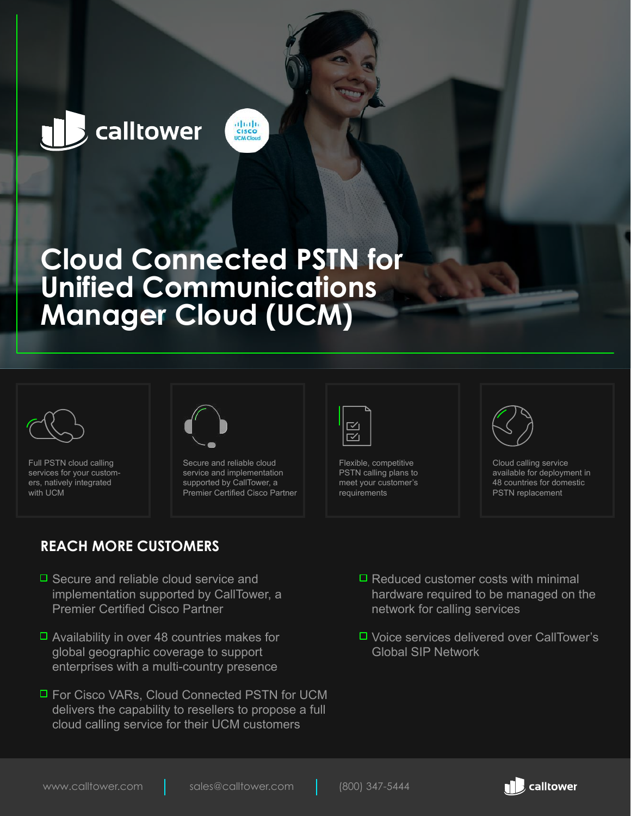# calltower

## **Cloud Connected PSTN for Unified Communications Manager Cloud (UCM)**

abab.<br>Cisco **ICM CIO** 



Full PSTN cloud calling services for your customers, natively integrated with UCM



Secure and reliable cloud service and implementation supported by CallTower, a Premier Certified Cisco Partner

### **REACH MORE CUSTOMERS**

- $\Box$  Secure and reliable cloud service and implementation supported by CallTower, a Premier Certified Cisco Partner
- $\Box$  Availability in over 48 countries makes for global geographic coverage to support enterprises with a multi-country presence
- □ For Cisco VARs, Cloud Connected PSTN for UCM delivers the capability to resellers to propose a full cloud calling service for their UCM customers



∼ี

Flexible, competitive PSTN calling plans to meet your customer's requirements



Cloud calling service available for deployment in 48 countries for domestic PSTN replacement

- $\Box$  Reduced customer costs with minimal hardware required to be managed on the network for calling services
- □ Voice services delivered over CallTower's Global SIP Network

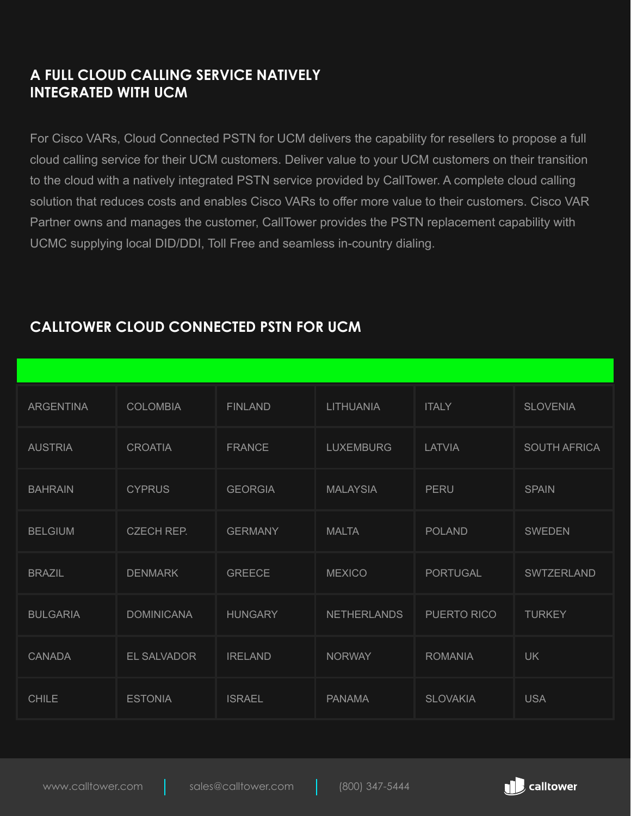#### **A FULL CLOUD CALLING SERVICE NATIVELY INTEGRATED WITH UCM**

For Cisco VARs, Cloud Connected PSTN for UCM delivers the capability for resellers to propose a full cloud calling service for their UCM customers. Deliver value to your UCM customers on their transition to the cloud with a natively integrated PSTN service provided by CallTower. A complete cloud calling solution that reduces costs and enables Cisco VARs to offer more value to their customers. Cisco VAR Partner owns and manages the customer, CallTower provides the PSTN replacement capability with UCMC supplying local DID/DDI, Toll Free and seamless in-country dialing.

| <b>ARGENTINA</b> | <b>COLOMBIA</b>   | <b>FINLAND</b> | <b>LITHUANIA</b>   | <b>ITALY</b>    | <b>SLOVENIA</b>     |
|------------------|-------------------|----------------|--------------------|-----------------|---------------------|
| <b>AUSTRIA</b>   | <b>CROATIA</b>    | <b>FRANCE</b>  | <b>LUXEMBURG</b>   | <b>LATVIA</b>   | <b>SOUTH AFRICA</b> |
| <b>BAHRAIN</b>   | <b>CYPRUS</b>     | <b>GEORGIA</b> | <b>MALAYSIA</b>    | PERU            | <b>SPAIN</b>        |
| <b>BELGIUM</b>   | CZECH REP.        | <b>GERMANY</b> | <b>MALTA</b>       | <b>POLAND</b>   | <b>SWEDEN</b>       |
| <b>BRAZIL</b>    | <b>DENMARK</b>    | <b>GREECE</b>  | <b>MEXICO</b>      | <b>PORTUGAL</b> | SWTZERLAND          |
| <b>BULGARIA</b>  | <b>DOMINICANA</b> | <b>HUNGARY</b> | <b>NETHERLANDS</b> | PUERTO RICO     | <b>TURKEY</b>       |
| <b>CANADA</b>    | EL SALVADOR       | <b>IRELAND</b> | <b>NORWAY</b>      | <b>ROMANIA</b>  | <b>UK</b>           |
| <b>CHILE</b>     | <b>ESTONIA</b>    | <b>ISRAEL</b>  | <b>PANAMA</b>      | <b>SLOVAKIA</b> | <b>USA</b>          |

### **CALLTOWER CLOUD CONNECTED PSTN FOR UCM**

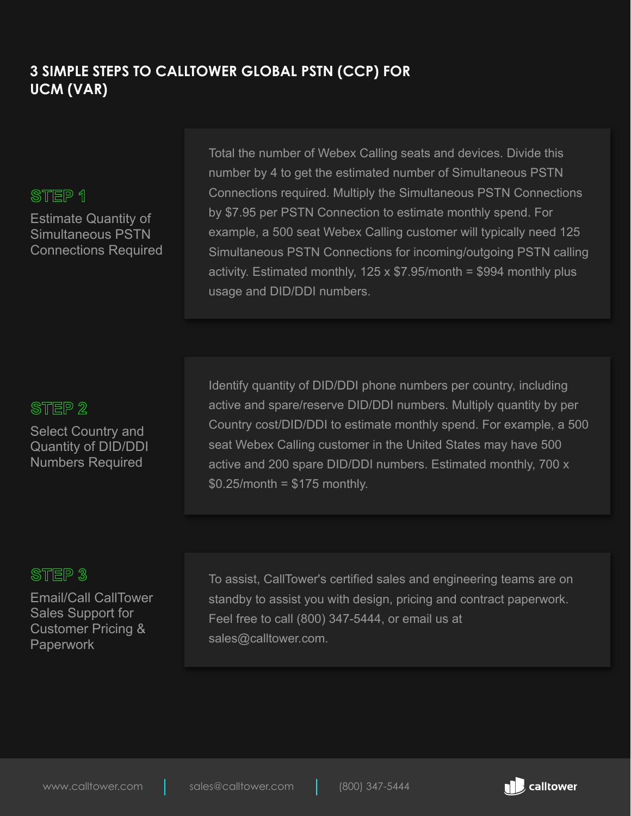#### **3 SIMPLE STEPS TO CALLTOWER GLOBAL PSTN (CCP) FOR UCM (VAR)**

#### STEP 1

Estimate Quantity of Simultaneous PSTN Connections Required

Total the number of Webex Calling seats and devices. Divide this number by 4 to get the estimated number of Simultaneous PSTN Connections required. Multiply the Simultaneous PSTN Connections by \$7.95 per PSTN Connection to estimate monthly spend. For example, a 500 seat Webex Calling customer will typically need 125 Simultaneous PSTN Connections for incoming/outgoing PSTN calling activity. Estimated monthly,  $125 \times $7.95$ /month = \$994 monthly plus usage and DID/DDI numbers.

#### STEP<sub>2</sub>

Select Country and Quantity of DID/DDI Numbers Required

Identify quantity of DID/DDI phone numbers per country, including active and spare/reserve DID/DDI numbers. Multiply quantity by per Country cost/DID/DDI to estimate monthly spend. For example, a 500 seat Webex Calling customer in the United States may have 500 active and 200 spare DID/DDI numbers. Estimated monthly, 700 x  $$0.25/m$ onth = \$175 monthly.

#### STEP<sub>3</sub>

Email/Call CallTower Sales Support for Customer Pricing & Paperwork

To assist, CallTower's certified sales and engineering teams are on standby to assist you with design, pricing and contract paperwork. Feel free to call (800) 347-5444, or email us at sales@calltower.com.